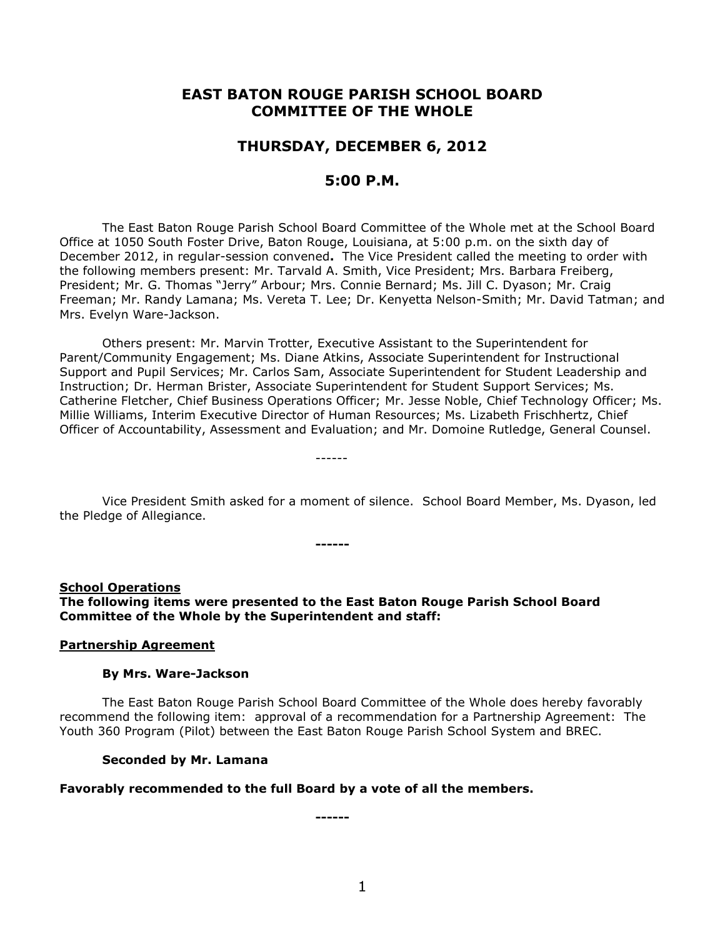# **EAST BATON ROUGE PARISH SCHOOL BOARD COMMITTEE OF THE WHOLE**

# **THURSDAY, DECEMBER 6, 2012**

# **5:00 P.M.**

The East Baton Rouge Parish School Board Committee of the Whole met at the School Board Office at 1050 South Foster Drive, Baton Rouge, Louisiana, at 5:00 p.m. on the sixth day of December 2012, in regular-session convened**.** The Vice President called the meeting to order with the following members present: Mr. Tarvald A. Smith, Vice President; Mrs. Barbara Freiberg, President; Mr. G. Thomas "Jerry" Arbour; Mrs. Connie Bernard; Ms. Jill C. Dyason; Mr. Craig Freeman; Mr. Randy Lamana; Ms. Vereta T. Lee; Dr. Kenyetta Nelson-Smith; Mr. David Tatman; and Mrs. Evelyn Ware-Jackson.

Others present: Mr. Marvin Trotter, Executive Assistant to the Superintendent for Parent/Community Engagement; Ms. Diane Atkins, Associate Superintendent for Instructional Support and Pupil Services; Mr. Carlos Sam, Associate Superintendent for Student Leadership and Instruction; Dr. Herman Brister, Associate Superintendent for Student Support Services; Ms. Catherine Fletcher, Chief Business Operations Officer; Mr. Jesse Noble, Chief Technology Officer; Ms. Millie Williams, Interim Executive Director of Human Resources; Ms. Lizabeth Frischhertz, Chief Officer of Accountability, Assessment and Evaluation; and Mr. Domoine Rutledge, General Counsel.

Vice President Smith asked for a moment of silence. School Board Member, Ms. Dyason, led the Pledge of Allegiance.

**School Operations The following items were presented to the East Baton Rouge Parish School Board Committee of the Whole by the Superintendent and staff:**

**------**

------

#### **Partnership Agreement**

#### **By Mrs. Ware-Jackson**

The East Baton Rouge Parish School Board Committee of the Whole does hereby favorably recommend the following item: approval of a recommendation for a Partnership Agreement: The Youth 360 Program (Pilot) between the East Baton Rouge Parish School System and BREC.

#### **Seconded by Mr. Lamana**

#### **Favorably recommended to the full Board by a vote of all the members.**

**------**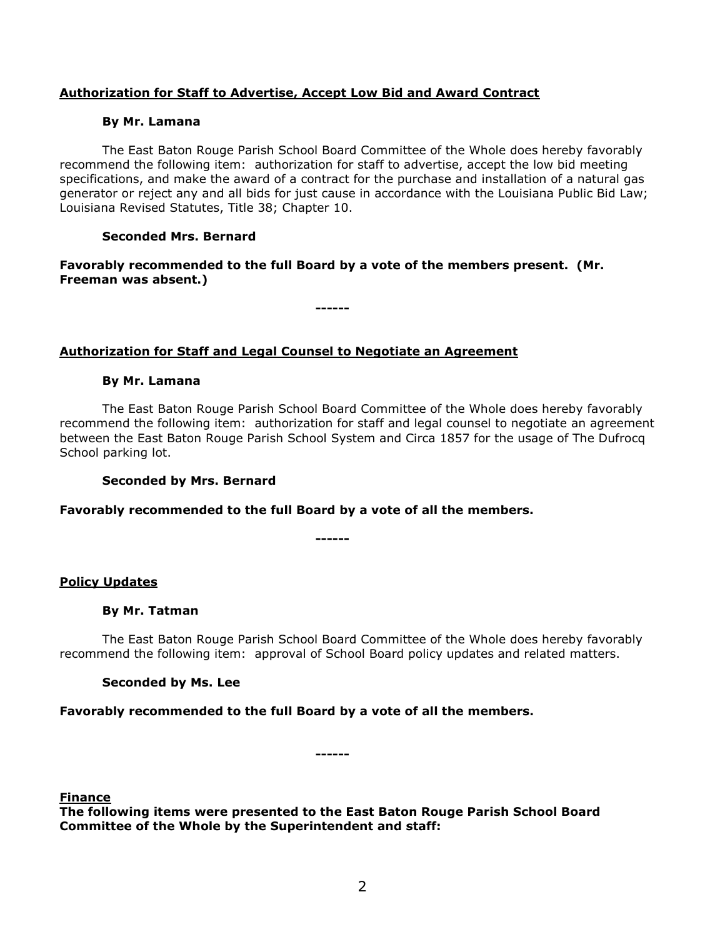## **Authorization for Staff to Advertise, Accept Low Bid and Award Contract**

### **By Mr. Lamana**

The East Baton Rouge Parish School Board Committee of the Whole does hereby favorably recommend the following item: authorization for staff to advertise, accept the low bid meeting specifications, and make the award of a contract for the purchase and installation of a natural gas generator or reject any and all bids for just cause in accordance with the Louisiana Public Bid Law; Louisiana Revised Statutes, Title 38; Chapter 10.

## **Seconded Mrs. Bernard**

**Favorably recommended to the full Board by a vote of the members present. (Mr. Freeman was absent.)**

**------**

**Authorization for Staff and Legal Counsel to Negotiate an Agreement**

### **By Mr. Lamana**

The East Baton Rouge Parish School Board Committee of the Whole does hereby favorably recommend the following item: authorization for staff and legal counsel to negotiate an agreement between the East Baton Rouge Parish School System and Circa 1857 for the usage of The Dufrocq School parking lot.

#### **Seconded by Mrs. Bernard**

## **Favorably recommended to the full Board by a vote of all the members.**

**------**

## **Policy Updates**

## **By Mr. Tatman**

The East Baton Rouge Parish School Board Committee of the Whole does hereby favorably recommend the following item: approval of School Board policy updates and related matters.

## **Seconded by Ms. Lee**

**Favorably recommended to the full Board by a vote of all the members.**

**------**

#### **Finance**

**The following items were presented to the East Baton Rouge Parish School Board Committee of the Whole by the Superintendent and staff:**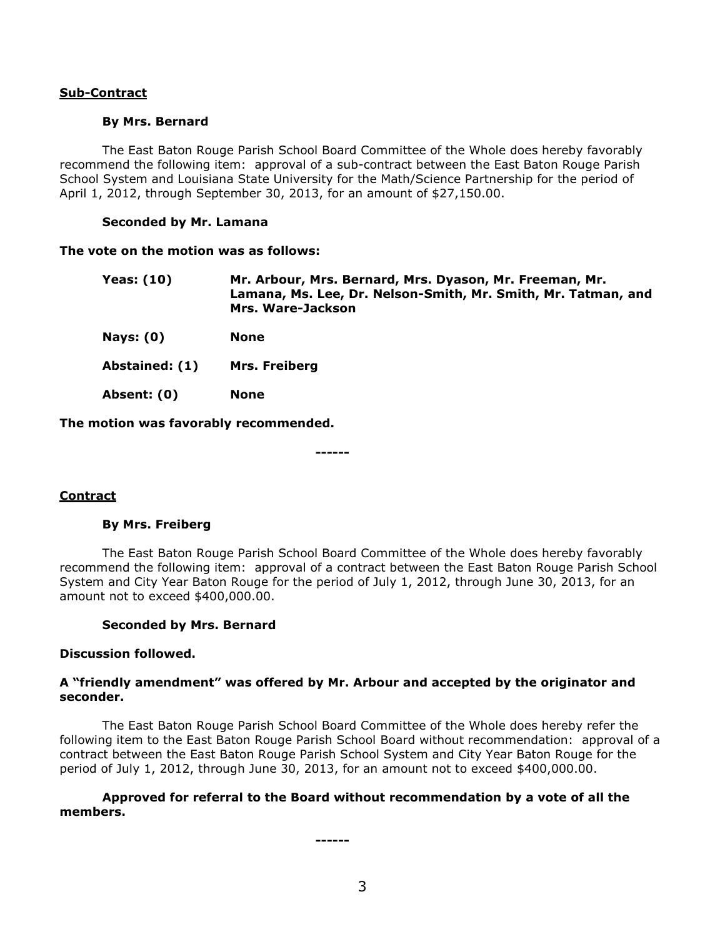## **Sub-Contract**

#### **By Mrs. Bernard**

The East Baton Rouge Parish School Board Committee of the Whole does hereby favorably recommend the following item: approval of a sub-contract between the East Baton Rouge Parish School System and Louisiana State University for the Math/Science Partnership for the period of April 1, 2012, through September 30, 2013, for an amount of \$27,150.00.

### **Seconded by Mr. Lamana**

#### **The vote on the motion was as follows:**

| Yeas: (10) | Mr. Arbour, Mrs. Bernard, Mrs. Dyason, Mr. Freeman, Mr.       |
|------------|---------------------------------------------------------------|
|            | Lamana, Ms. Lee, Dr. Nelson-Smith, Mr. Smith, Mr. Tatman, and |
|            | Mrs. Ware-Jackson                                             |
|            |                                                               |

**Nays: (0) None**

**Abstained: (1) Mrs. Freiberg**

**Absent: (0) None**

**The motion was favorably recommended.**

**------**

## **Contract**

## **By Mrs. Freiberg**

The East Baton Rouge Parish School Board Committee of the Whole does hereby favorably recommend the following item: approval of a contract between the East Baton Rouge Parish School System and City Year Baton Rouge for the period of July 1, 2012, through June 30, 2013, for an amount not to exceed \$400,000.00.

## **Seconded by Mrs. Bernard**

## **Discussion followed.**

### **A "friendly amendment" was offered by Mr. Arbour and accepted by the originator and seconder.**

The East Baton Rouge Parish School Board Committee of the Whole does hereby refer the following item to the East Baton Rouge Parish School Board without recommendation: approval of a contract between the East Baton Rouge Parish School System and City Year Baton Rouge for the period of July 1, 2012, through June 30, 2013, for an amount not to exceed \$400,000.00.

## **Approved for referral to the Board without recommendation by a vote of all the members.**

**------**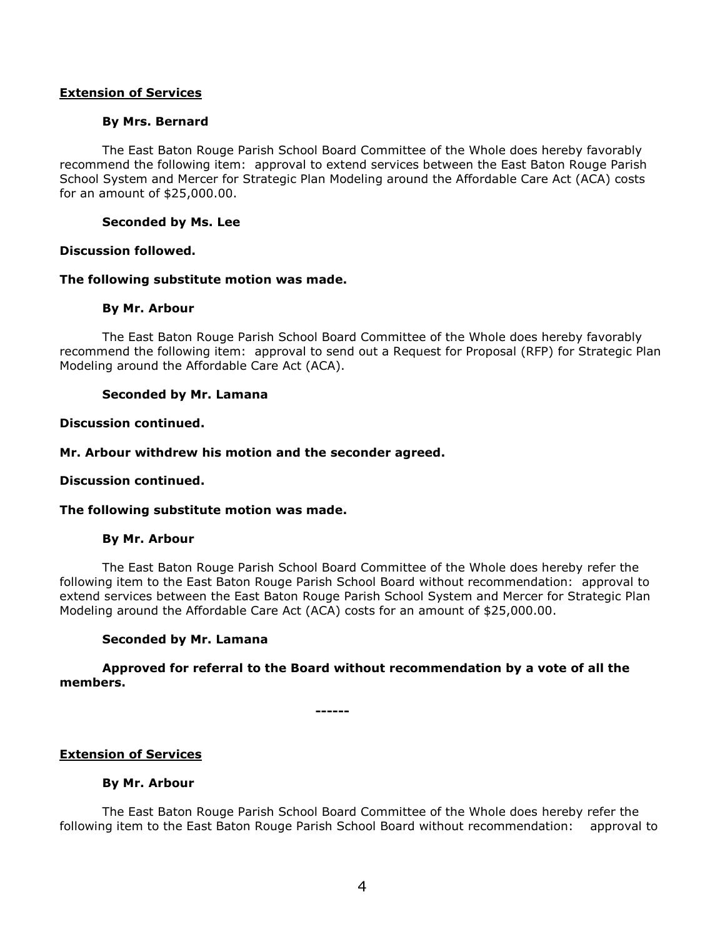### **Extension of Services**

### **By Mrs. Bernard**

The East Baton Rouge Parish School Board Committee of the Whole does hereby favorably recommend the following item: approval to extend services between the East Baton Rouge Parish School System and Mercer for Strategic Plan Modeling around the Affordable Care Act (ACA) costs for an amount of \$25,000.00.

### **Seconded by Ms. Lee**

### **Discussion followed.**

### **The following substitute motion was made.**

### **By Mr. Arbour**

The East Baton Rouge Parish School Board Committee of the Whole does hereby favorably recommend the following item: approval to send out a Request for Proposal (RFP) for Strategic Plan Modeling around the Affordable Care Act (ACA).

### **Seconded by Mr. Lamana**

### **Discussion continued.**

### **Mr. Arbour withdrew his motion and the seconder agreed.**

#### **Discussion continued.**

#### **The following substitute motion was made.**

#### **By Mr. Arbour**

The East Baton Rouge Parish School Board Committee of the Whole does hereby refer the following item to the East Baton Rouge Parish School Board without recommendation: approval to extend services between the East Baton Rouge Parish School System and Mercer for Strategic Plan Modeling around the Affordable Care Act (ACA) costs for an amount of \$25,000.00.

## **Seconded by Mr. Lamana**

## **Approved for referral to the Board without recommendation by a vote of all the members.**

**------**

## **Extension of Services**

#### **By Mr. Arbour**

The East Baton Rouge Parish School Board Committee of the Whole does hereby refer the following item to the East Baton Rouge Parish School Board without recommendation: approval to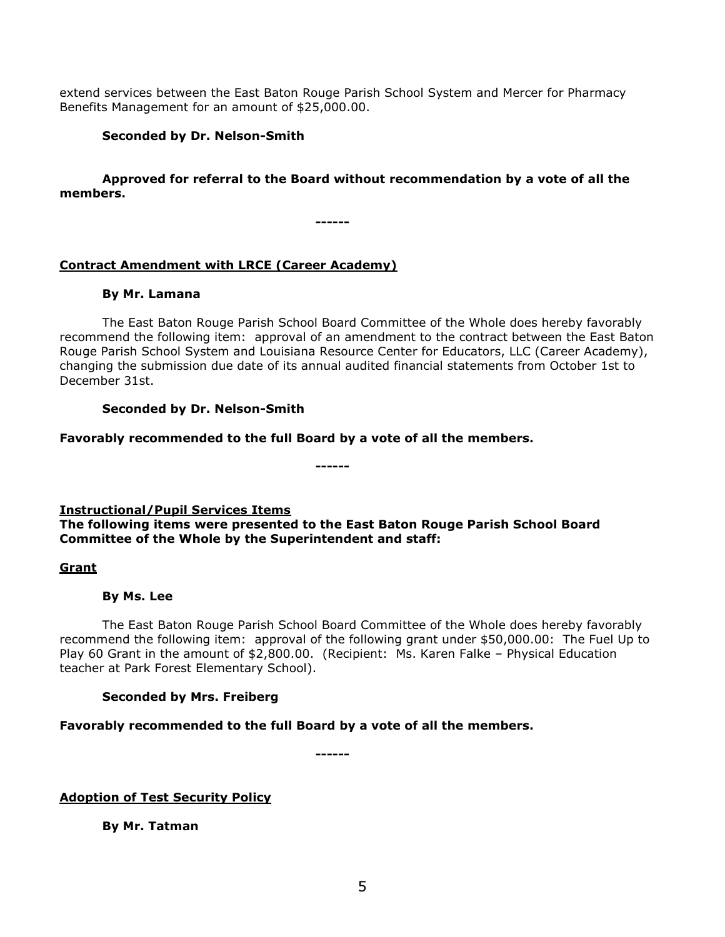extend services between the East Baton Rouge Parish School System and Mercer for Pharmacy Benefits Management for an amount of \$25,000.00.

# **Seconded by Dr. Nelson-Smith**

# **Approved for referral to the Board without recommendation by a vote of all the members.**

**------**

# **Contract Amendment with LRCE (Career Academy)**

## **By Mr. Lamana**

The East Baton Rouge Parish School Board Committee of the Whole does hereby favorably recommend the following item: approval of an amendment to the contract between the East Baton Rouge Parish School System and Louisiana Resource Center for Educators, LLC (Career Academy), changing the submission due date of its annual audited financial statements from October 1st to December 31st.

# **Seconded by Dr. Nelson-Smith**

## **Favorably recommended to the full Board by a vote of all the members.**

**------**

# **Instructional/Pupil Services Items**

# **The following items were presented to the East Baton Rouge Parish School Board Committee of the Whole by the Superintendent and staff:**

## **Grant**

# **By Ms. Lee**

The East Baton Rouge Parish School Board Committee of the Whole does hereby favorably recommend the following item: approval of the following grant under \$50,000.00: The Fuel Up to Play 60 Grant in the amount of \$2,800.00. (Recipient: Ms. Karen Falke – Physical Education teacher at Park Forest Elementary School).

# **Seconded by Mrs. Freiberg**

# **Favorably recommended to the full Board by a vote of all the members.**

**------**

# **Adoption of Test Security Policy**

**By Mr. Tatman**